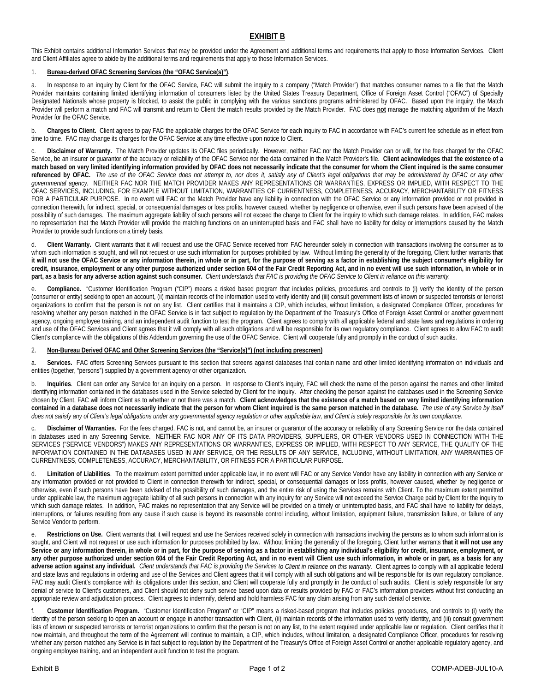## **EXHIBIT B**

This Exhibit contains additional Information Services that may be provided under the Agreement and additional terms and requirements that apply to those Information Services. Client and Client Affiliates agree to abide by the additional terms and requirements that apply to those Information Services.

## 1. **Bureau-derived OFAC Screening Services (the "OFAC Service(s)")**.

a. In response to an inquiry by Client for the OFAC Service, FAC will submit the inquiry to a company ("Match Provider") that matches consumer names to a file that the Match Provider maintains containing limited identifying information of consumers listed by the United States Treasury Department, Office of Foreign Asset Control ("OFAC") of Specially Designated Nationals whose property is blocked, to assist the public in complying with the various sanctions programs administered by OFAC. Based upon the inquiry, the Match Provider will perform a match and FAC will transmit and return to Client the match results provided by the Match Provider. FAC does **not** manage the matching algorithm of the Match Provider for the OFAC Service.

b. Charges to Client. Client agrees to pay FAC the applicable charges for the OFAC Service for each inquiry to FAC in accordance with FAC's current fee schedule as in effect from time to time. FAC may change its charges for the OFAC Service at any time effective upon notice to Client.

Disclaimer of Warranty. The Match Provider updates its OFAC files periodically. However, neither FAC nor the Match Provider can or will, for the fees charged for the OFAC Service, be an insurer or guarantor of the accuracy or reliability of the OFAC Service nor the data contained in the Match Provider's file. **Client acknowledges that the existence of a match based on very limited identifying information provided by OFAC does not necessarily indicate that the consumer for whom the Client inquired is the same consumer**  referenced by OFAC. The use of the OFAC Service does not attempt to, nor does it, satisfy any of Client's legal obligations that may be administered by OFAC or any other *governmental agency.* NEITHER FAC NOR THE MATCH PROVIDER MAKES ANY REPRESENTATIONS OR WARRANTIES, EXPRESS OR IMPLIED, WITH RESPECT TO THE OFAC SERVICES, INCLUDING, FOR EXAMPLE WITHOUT LIMITATION, WARRANTIES OF CURRENTNESS, COMPLETENESS, ACCURACY, MERCHANTABILITY OR FITNESS FOR A PARTICULAR PURPOSE. In no event will FAC or the Match Provider have any liability in connection with the OFAC Service or any information provided or not provided in connection therewith, for indirect, special, or consequential damages or loss profits, however caused, whether by negligence or otherwise, even if such persons have been advised of the possibility of such damages. The maximum aggregate liability of such persons will not exceed the charge to Client for the inquiry to which such damage relates. In addition, FAC makes no representation that the Match Provider will provide the matching functions on an uninterrupted basis and FAC shall have no liability for delay or interruptions caused by the Match Provider to provide such functions on a timely basis.

d. **Client Warranty.** Client warrants that it will request and use the OFAC Service received from FAC hereunder solely in connection with transactions involving the consumer as to whom such information is sought, and will not request or use such information for purposes prohibited by law. Without limiting the generality of the foregoing, Client further warrants that **it will not use the OFAC Service or any information therein, in whole or in part, for the purpose of serving as a factor in establishing the subject consumer's eligibility for credit, insurance, employment or any other purpose authorized under section 604 of the Fair Credit Reporting Act, and in no event will use such information, in whole or in part, as a basis for any adverse action against such consumer.** *Client understands that FAC is providing the OFAC Service to Client in reliance on this warranty.*

Compliance. "Customer Identification Program ("CIP") means a risked based program that includes policies, procedures and controls to (i) verify the identity of the person (consumer or entity) seeking to open an account, (ii) maintain records of the information used to verify identity and (iii) consult government lists of known or suspected terrorists or terrorist organizations to confirm that the person is not on any list. Client certifies that it maintains a CIP, which includes, without limitation, a designated Compliance Officer, procedures for resolving whether any person matched in the OFAC Service is in fact subject to regulation by the Department of the Treasury's Office of Foreign Asset Control or another government agency, ongoing employee training, and an independent audit function to test the program. Client agrees to comply with all applicable federal and state laws and regulations in ordering and use of the OFAC Services and Client agrees that it will comply with all such obligations and will be responsible for its own regulatory compliance. Client agrees to allow FAC to audit Client's compliance with the obligations of this Addendum governing the use of the OFAC Service. Client will cooperate fully and promptly in the conduct of such audits.

## 2. **Non-Bureau Derived OFAC and Other Screening Services (the "Service(s)") (not including prescreen)**

a. **Services.** FAC offers Screening Services pursuant to this section that screens against databases that contain name and other limited identifying information on individuals and entities (together, "persons") supplied by a government agency or other organization.

b. Inquiries. Client can order any Service for an inquiry on a person. In response to Client's inquiry, FAC will check the name of the person against the names and other limited identifying information contained in the databases used in the Service selected by Client for the inquiry. After checking the person against the databases used in the Screening Service chosen by Client, FAC will inform Client as to whether or not there was a match. **Client acknowledges that the existence of a match based on very limited identifying information contained in a database does not necessarily indicate that the person for whom Client inquired is the same person matched in the database.** *The use of any Service by itself does not satisfy any of Client's legal obligations under any governmental agency regulation or other applicable law, and Client is solely responsible for its own compliance.*

c. **Disclaimer of Warranties.** For the fees charged, FAC is not, and cannot be, an insurer or guarantor of the accuracy or reliability of any Screening Service nor the data contained in databases used in any Screening Service. NEITHER FAC NOR ANY OF ITS DATA PROVIDERS, SUPPLIERS, OR OTHER VENDORS USED IN CONNECTION WITH THE SERVICES ("SERVICE VENDORS") MAKES ANY REPRESENTATIONS OR WARRANTIES, EXPRESS OR IMPLIED, WITH RESPECT TO ANY SERVICE, THE QUALITY OF THE INFORMATION CONTAINED IN THE DATABASES USED IN ANY SERVICE, OR THE RESULTS OF ANY SERVICE, INCLUDING, WITHOUT LIMITATION, ANY WARRANTIES OF CURRENTNESS, COMPLETENESS, ACCURACY, MERCHANTABILITY, OR FITNESS FOR A PARTICULAR PURPOSE.

d. **Limitation of Liabilities**. To the maximum extent permitted under applicable law, in no event will FAC or any Service Vendor have any liability in connection with any Service or any information provided or not provided to Client in connection therewith for indirect, special, or consequential damages or loss profits, however caused, whether by negligence or otherwise, even if such persons have been advised of the possibility of such damages, and the entire risk of using the Services remains with Client. To the maximum extent permitted under applicable law, the maximum aggregate liability of all such persons in connection with any inquiry for any Service will not exceed the Service Charge paid by Client for the inquiry to which such damage relates. In addition, FAC makes no representation that any Service will be provided on a timely or uninterrupted basis, and FAC shall have no liability for delays, interruptions, or failures resulting from any cause if such cause is beyond its reasonable control including, without limitation, equipment failure, transmission failure, or failure of any Service Vendor to perform.

Restrictions on Use. Client warrants that it will request and use the Services received solely in connection with transactions involving the persons as to whom such information is sought, and Client will not request or use such information for purposes prohibited by law. Without limiting the generality of the foregoing, Client further warrants **that it will not use any**  Service or any information therein, in whole or in part, for the purpose of serving as a factor in establishing any individual's eligibility for credit, insurance, employment, or **any other purpose authorized under section 604 of the Fair Credit Reporting Act, and in no event will Client use such information, in whole or in part, as a basis for any adverse action against any individual.** *Client understands that FAC is providing the Services to Client in reliance on this warranty.* Client agrees to comply with all applicable federal and state laws and regulations in ordering and use of the Services and Client agrees that it will comply with all such obligations and will be responsible for its own regulatory compliance. FAC may audit Client's compliance with its obligations under this section, and Client will cooperate fully and promptly in the conduct of such audits. Client is solely responsible for any denial of service to Client's customers, and Client should not deny such service based upon data or results provided by FAC or FAC's information providers without first conducting an appropriate review and adjudication process. Client agrees to indemnify, defend and hold harmless FAC for any claim arising from any such denial of service.

Customer Identification Program. "Customer Identification Program" or "CIP" means a risked-based program that includes policies, procedures, and controls to (i) verify the identity of the person seeking to open an account or engage in another transaction with Client, (ii) maintain records of the information used to verify identity, and (iii) consult government lists of known or suspected terrorists or terrorist organizations to confirm that the person is not on any list, to the extent required under applicable law or regulation. Client certifies that it now maintain, and throughout the term of the Agreement will continue to maintain, a CIP, which includes, without limitation, a designated Compliance Officer, procedures for resolving whether any person matched any Service is in fact subject to regulation by the Department of the Treasury's Office of Foreign Asset Control or another applicable regulatory agency, and ongoing employee training, and an independent audit function to test the program.